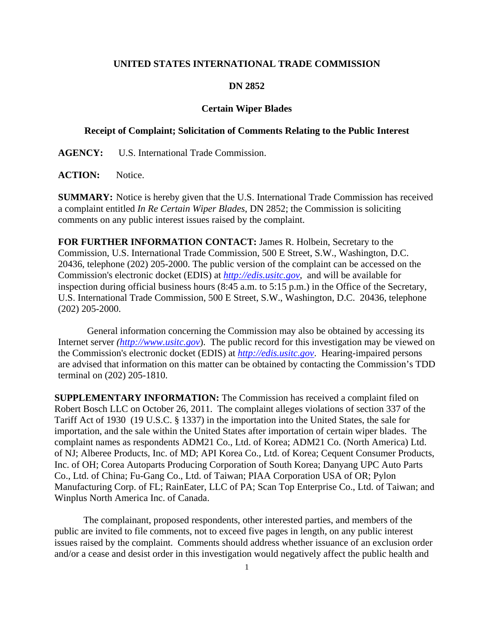## **UNITED STATES INTERNATIONAL TRADE COMMISSION**

## **DN 2852**

## **Certain Wiper Blades**

## **Receipt of Complaint; Solicitation of Comments Relating to the Public Interest**

**AGENCY:** U.S. International Trade Commission.

ACTION: Notice.

**SUMMARY:** Notice is hereby given that the U.S. International Trade Commission has received a complaint entitled *In Re Certain Wiper Blades*, DN 2852; the Commission is soliciting comments on any public interest issues raised by the complaint.

**FOR FURTHER INFORMATION CONTACT:** James R. Holbein, Secretary to the Commission, U.S. International Trade Commission, 500 E Street, S.W., Washington, D.C. 20436, telephone (202) 205-2000. The public version of the complaint can be accessed on the Commission's electronic docket (EDIS) at *http://edis.usitc.gov*,and will be available for inspection during official business hours (8:45 a.m. to 5:15 p.m.) in the Office of the Secretary, U.S. International Trade Commission, 500 E Street, S.W., Washington, D.C. 20436, telephone (202) 205-2000.

General information concerning the Commission may also be obtained by accessing its Internet server *(http://www.usitc.gov*). The public record for this investigation may be viewed on the Commission's electronic docket (EDIS) at *http://edis.usitc.gov*. Hearing-impaired persons are advised that information on this matter can be obtained by contacting the Commission's TDD terminal on (202) 205-1810.

**SUPPLEMENTARY INFORMATION:** The Commission has received a complaint filed on Robert Bosch LLC on October 26, 2011. The complaint alleges violations of section 337 of the Tariff Act of 1930 (19 U.S.C. § 1337) in the importation into the United States, the sale for importation, and the sale within the United States after importation of certain wiper blades. The complaint names as respondents ADM21 Co., Ltd. of Korea; ADM21 Co. (North America) Ltd. of NJ; Alberee Products, Inc. of MD; API Korea Co., Ltd. of Korea; Cequent Consumer Products, Inc. of OH; Corea Autoparts Producing Corporation of South Korea; Danyang UPC Auto Parts Co., Ltd. of China; Fu-Gang Co., Ltd. of Taiwan; PIAA Corporation USA of OR; Pylon Manufacturing Corp. of FL; RainEater, LLC of PA; Scan Top Enterprise Co., Ltd. of Taiwan; and Winplus North America Inc. of Canada.

 The complainant, proposed respondents, other interested parties, and members of the public are invited to file comments, not to exceed five pages in length, on any public interest issues raised by the complaint. Comments should address whether issuance of an exclusion order and/or a cease and desist order in this investigation would negatively affect the public health and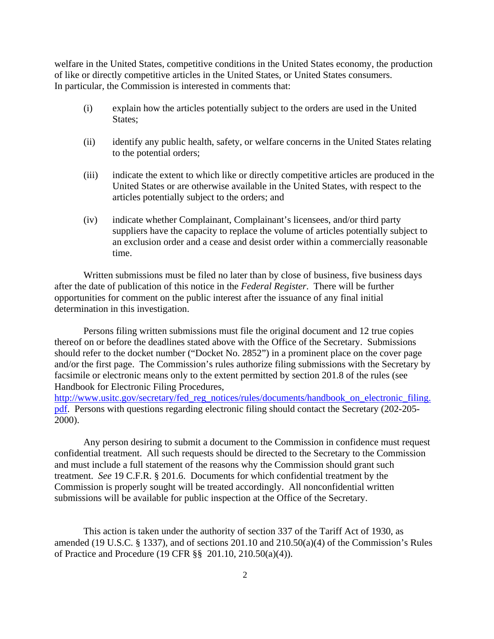welfare in the United States, competitive conditions in the United States economy, the production of like or directly competitive articles in the United States, or United States consumers. In particular, the Commission is interested in comments that:

- (i) explain how the articles potentially subject to the orders are used in the United States;
- (ii) identify any public health, safety, or welfare concerns in the United States relating to the potential orders;
- (iii) indicate the extent to which like or directly competitive articles are produced in the United States or are otherwise available in the United States, with respect to the articles potentially subject to the orders; and
- (iv) indicate whether Complainant, Complainant's licensees, and/or third party suppliers have the capacity to replace the volume of articles potentially subject to an exclusion order and a cease and desist order within a commercially reasonable time.

 Written submissions must be filed no later than by close of business, five business days after the date of publication of this notice in the *Federal Register*. There will be further opportunities for comment on the public interest after the issuance of any final initial determination in this investigation.

 Persons filing written submissions must file the original document and 12 true copies thereof on or before the deadlines stated above with the Office of the Secretary. Submissions should refer to the docket number ("Docket No. 2852") in a prominent place on the cover page and/or the first page. The Commission's rules authorize filing submissions with the Secretary by facsimile or electronic means only to the extent permitted by section 201.8 of the rules (see Handbook for Electronic Filing Procedures,

http://www.usitc.gov/secretary/fed\_reg\_notices/rules/documents/handbook\_on\_electronic\_filing. pdf. Persons with questions regarding electronic filing should contact the Secretary (202-205- 2000).

 Any person desiring to submit a document to the Commission in confidence must request confidential treatment. All such requests should be directed to the Secretary to the Commission and must include a full statement of the reasons why the Commission should grant such treatment. *See* 19 C.F.R. § 201.6. Documents for which confidential treatment by the Commission is properly sought will be treated accordingly. All nonconfidential written submissions will be available for public inspection at the Office of the Secretary.

This action is taken under the authority of section 337 of the Tariff Act of 1930, as amended (19 U.S.C. § 1337), and of sections 201.10 and 210.50(a)(4) of the Commission's Rules of Practice and Procedure (19 CFR §§ 201.10, 210.50(a)(4)).